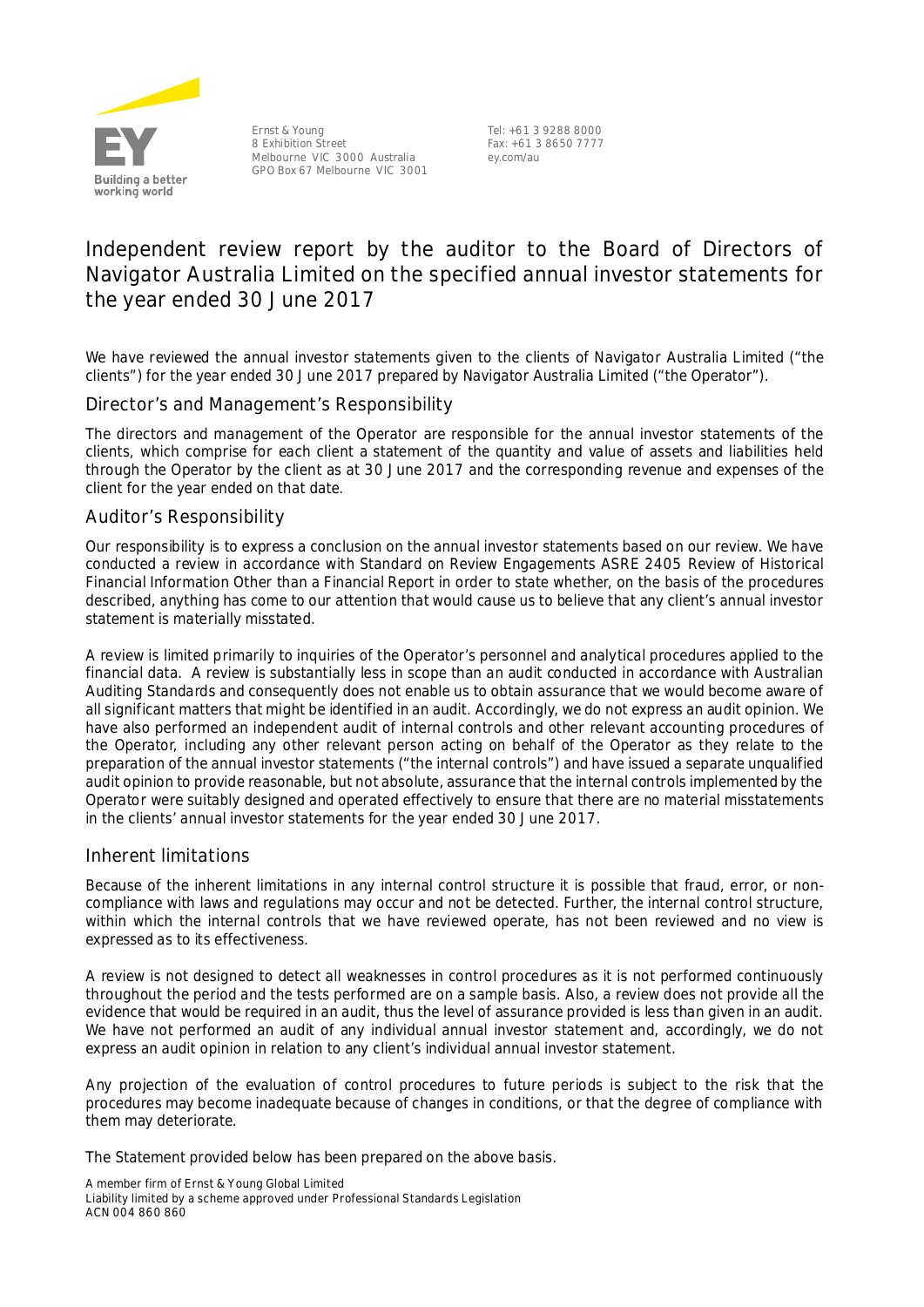

Ernst & Young 8 Exhibition Street Melbourne VIC 3000 Australia GPO Box 67 Melbourne VIC 3001

Tel: +61 3 9288 8000 Fax: +61 3 8650 7777 ey.com/au

# **Independent review report by the auditor to the Board of Directors of Navigator Australia Limited on the specified annual investor statements for the year ended 30 June 2017**

We have reviewed the annual investor statements given to the clients of Navigator Australia Limited ("the clients") for the year ended 30 June 2017 prepared by Navigator Australia Limited ("the Operator").

# Director's and Management's Responsibility

The directors and management of the Operator are responsible for the annual investor statements of the clients, which comprise for each client a statement of the quantity and value of assets and liabilities held through the Operator by the client as at 30 June 2017 and the corresponding revenue and expenses of the client for the year ended on that date.

# Auditor's Responsibility

Our responsibility is to express a conclusion on the annual investor statements based on our review. We have conducted a review in accordance with Standard on Review Engagements ASRE 2405 *Review of Historical Financial Information Other than a Financial Report* in order to state whether, on the basis of the procedures described, anything has come to our attention that would cause us to believe that any client's annual investor statement is materially misstated.

A review is limited primarily to inquiries of the Operator's personnel and analytical procedures applied to the financial data. A review is substantially less in scope than an audit conducted in accordance with Australian Auditing Standards and consequently does not enable us to obtain assurance that we would become aware of all significant matters that might be identified in an audit. Accordingly, we do not express an audit opinion. We have also performed an independent audit of internal controls and other relevant accounting procedures of the Operator, including any other relevant person acting on behalf of the Operator as they relate to the preparation of the annual investor statements ("the internal controls") and have issued a separate unqualified audit opinion to provide reasonable, but not absolute, assurance that the internal controls implemented by the Operator were suitably designed and operated effectively to ensure that there are no material misstatements in the clients' annual investor statements for the year ended 30 June 2017.

#### Inherent limitations

Because of the inherent limitations in any internal control structure it is possible that fraud, error, or noncompliance with laws and regulations may occur and not be detected. Further, the internal control structure, within which the internal controls that we have reviewed operate, has not been reviewed and no view is expressed as to its effectiveness.

A review is not designed to detect all weaknesses in control procedures as it is not performed continuously throughout the period and the tests performed are on a sample basis. Also, a review does not provide all the evidence that would be required in an audit, thus the level of assurance provided is less than given in an audit. We have not performed an audit of any individual annual investor statement and, accordingly, we do not express an audit opinion in relation to any client's individual annual investor statement.

Any projection of the evaluation of control procedures to future periods is subject to the risk that the procedures may become inadequate because of changes in conditions, or that the degree of compliance with them may deteriorate.

The Statement provided below has been prepared on the above basis.